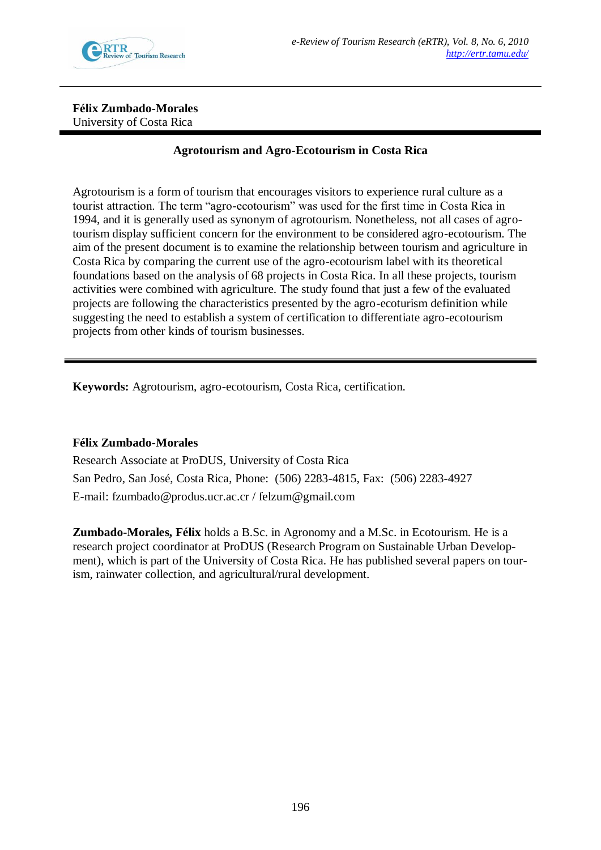

**Félix Zumbado-Morales**  University of Costa Rica

# **Agrotourism and Agro-Ecotourism in Costa Rica**

Agrotourism is a form of tourism that encourages visitors to experience rural culture as a tourist attraction. The term "agro-ecotourism" was used for the first time in Costa Rica in 1994, and it is generally used as synonym of agrotourism. Nonetheless, not all cases of agrotourism display sufficient concern for the environment to be considered agro-ecotourism. The aim of the present document is to examine the relationship between tourism and agriculture in Costa Rica by comparing the current use of the agro-ecotourism label with its theoretical foundations based on the analysis of 68 projects in Costa Rica. In all these projects, tourism activities were combined with agriculture. The study found that just a few of the evaluated projects are following the characteristics presented by the agro-ecoturism definition while suggesting the need to establish a system of certification to differentiate agro-ecotourism projects from other kinds of tourism businesses.

**Keywords:** Agrotourism, agro-ecotourism, Costa Rica, certification.

### **Félix Zumbado-Morales**

Research Associate at ProDUS, University of Costa Rica San Pedro, San José, Costa Rica, Phone: (506) 2283-4815, Fax: (506) 2283-4927 E-mail: fzumbado@produs.ucr.ac.cr / felzum@gmail.com

**Zumbado-Morales, Félix** holds a B.Sc. in Agronomy and a M.Sc. in Ecotourism. He is a research project coordinator at ProDUS (Research Program on Sustainable Urban Development), which is part of the University of Costa Rica. He has published several papers on tourism, rainwater collection, and agricultural/rural development.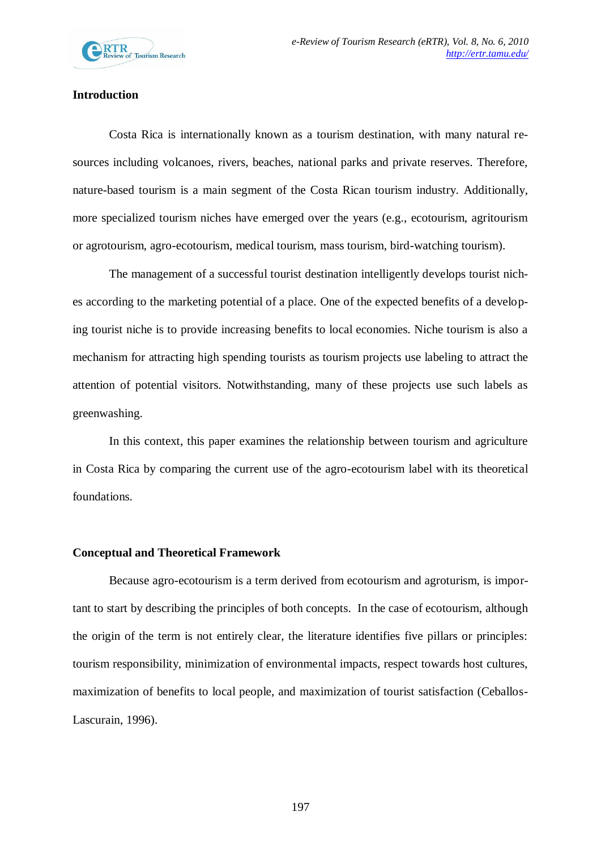

## **Introduction**

Costa Rica is internationally known as a tourism destination, with many natural resources including volcanoes, rivers, beaches, national parks and private reserves. Therefore, nature-based tourism is a main segment of the Costa Rican tourism industry. Additionally, more specialized tourism niches have emerged over the years (e.g., ecotourism, agritourism or agrotourism, agro-ecotourism, medical tourism, mass tourism, bird-watching tourism).

The management of a successful tourist destination intelligently develops tourist niches according to the marketing potential of a place. One of the expected benefits of a developing tourist niche is to provide increasing benefits to local economies. Niche tourism is also a mechanism for attracting high spending tourists as tourism projects use labeling to attract the attention of potential visitors. Notwithstanding, many of these projects use such labels as greenwashing.

In this context, this paper examines the relationship between tourism and agriculture in Costa Rica by comparing the current use of the agro-ecotourism label with its theoretical foundations.

#### **Conceptual and Theoretical Framework**

Because agro-ecotourism is a term derived from ecotourism and agroturism, is important to start by describing the principles of both concepts. In the case of ecotourism, although the origin of the term is not entirely clear, the literature identifies five pillars or principles: tourism responsibility, minimization of environmental impacts, respect towards host cultures, maximization of benefits to local people, and maximization of tourist satisfaction (Ceballos-Lascurain, 1996).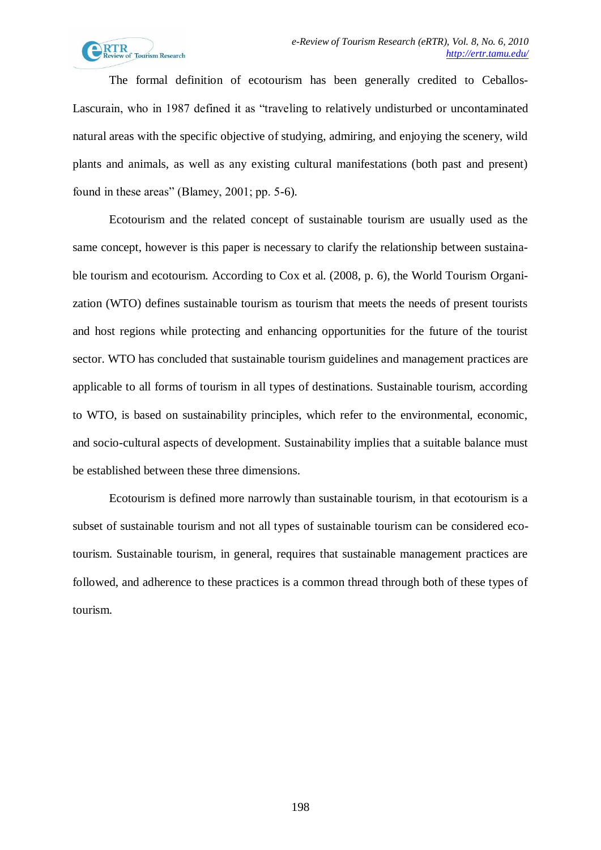

The formal definition of ecotourism has been generally credited to Ceballos-Lascurain, who in 1987 defined it as "traveling to relatively undisturbed or uncontaminated natural areas with the specific objective of studying, admiring, and enjoying the scenery, wild plants and animals, as well as any existing cultural manifestations (both past and present) found in these areas" (Blamey, 2001; pp. 5-6).

Ecotourism and the related concept of sustainable tourism are usually used as the same concept, however is this paper is necessary to clarify the relationship between sustainable tourism and ecotourism. According to Cox et al. (2008, p. 6), the World Tourism Organization (WTO) defines sustainable tourism as tourism that meets the needs of present tourists and host regions while protecting and enhancing opportunities for the future of the tourist sector. WTO has concluded that sustainable tourism guidelines and management practices are applicable to all forms of tourism in all types of destinations. Sustainable tourism, according to WTO, is based on sustainability principles, which refer to the environmental, economic, and socio-cultural aspects of development. Sustainability implies that a suitable balance must be established between these three dimensions.

Ecotourism is defined more narrowly than sustainable tourism, in that ecotourism is a subset of sustainable tourism and not all types of sustainable tourism can be considered ecotourism. Sustainable tourism, in general, requires that sustainable management practices are followed, and adherence to these practices is a common thread through both of these types of tourism.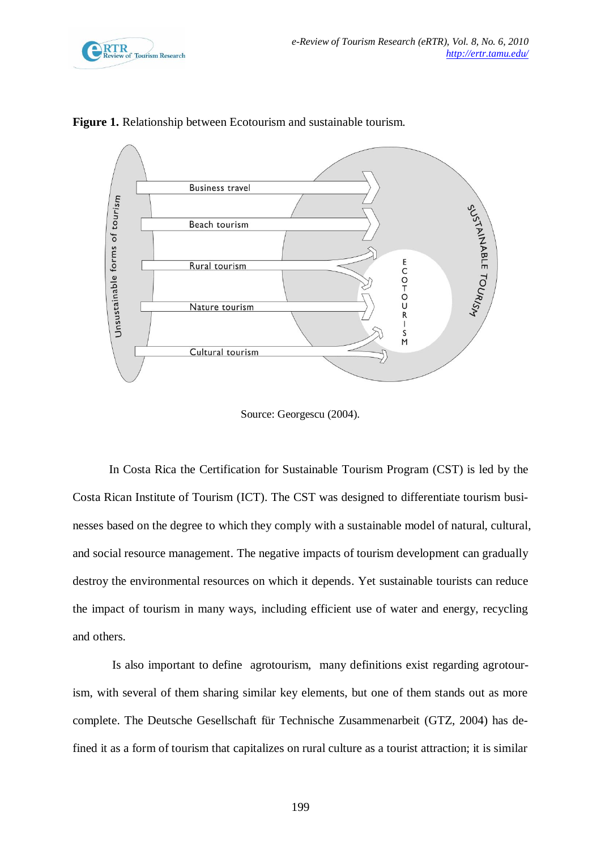



**Figure 1.** Relationship between Ecotourism and sustainable tourism.

Source: Georgescu (2004).

In Costa Rica the Certification for Sustainable Tourism Program (CST) is led by the Costa Rican Institute of Tourism (ICT). The CST was designed to differentiate tourism businesses based on the degree to which they comply with a sustainable model of natural, cultural, and social resource management. The negative impacts of tourism development can gradually destroy the environmental resources on which it depends. Yet sustainable tourists can reduce the impact of tourism in many ways, including efficient use of water and energy, recycling and others.

Is also important to define agrotourism, many definitions exist regarding agrotourism, with several of them sharing similar key elements, but one of them stands out as more complete. The Deutsche Gesellschaft für Technische Zusammenarbeit (GTZ, 2004) has defined it as a form of tourism that capitalizes on rural culture as a tourist attraction; it is similar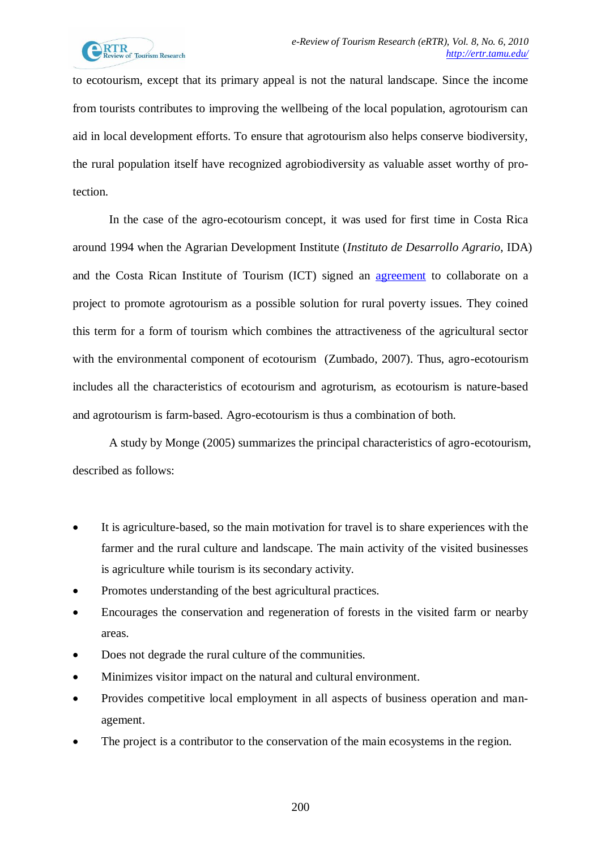to ecotourism, except that its primary appeal is not the natural landscape. Since the income from tourists contributes to improving the wellbeing of the local population, agrotourism can aid in local development efforts. To ensure that agrotourism also helps conserve biodiversity, the rural population itself have recognized agrobiodiversity as valuable asset worthy of protection.

In the case of the agro-ecotourism concept, it was used for first time in Costa Rica around 1994 when the Agrarian Development Institute (*Instituto de Desarrollo Agrario*, IDA) and the Costa Rican Institute of Tourism (ICT) signed an [agreement](http://es.bab.la/diccionario/ingles-espanol/agreement) to collaborate on a project to promote agrotourism as a possible solution for rural poverty issues. They coined this term for a form of tourism which combines the attractiveness of the agricultural sector with the environmental component of ecotourism (Zumbado, 2007). Thus, agro-ecotourism includes all the characteristics of ecotourism and agroturism, as ecotourism is nature-based and agrotourism is farm-based. Agro-ecotourism is thus a combination of both.

A study by Monge (2005) summarizes the principal characteristics of agro-ecotourism, described as follows:

- It is agriculture-based, so the main motivation for travel is to share experiences with the farmer and the rural culture and landscape. The main activity of the visited businesses is agriculture while tourism is its secondary activity.
- Promotes understanding of the best agricultural practices.
- Encourages the conservation and regeneration of forests in the visited farm or nearby areas.
- Does not degrade the rural culture of the communities.
- Minimizes visitor impact on the natural and cultural environment.
- Provides competitive local employment in all aspects of business operation and management.
- The project is a contributor to the conservation of the main ecosystems in the region.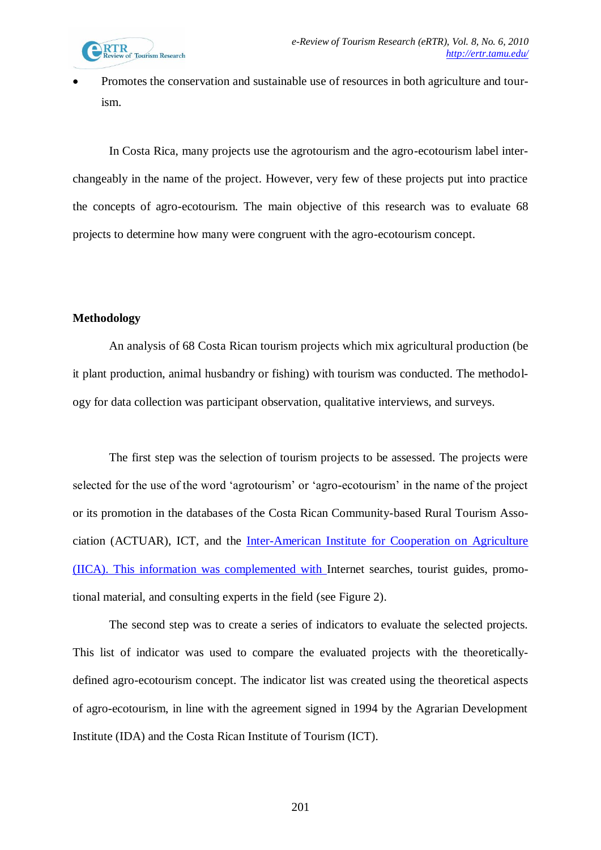

 Promotes the conservation and sustainable use of resources in both agriculture and tourism.

In Costa Rica, many projects use the agrotourism and the agro-ecotourism label interchangeably in the name of the project. However, very few of these projects put into practice the concepts of agro-ecotourism. The main objective of this research was to evaluate 68 projects to determine how many were congruent with the agro-ecotourism concept.

## **Methodology**

An analysis of 68 Costa Rican tourism projects which mix agricultural production (be it plant production, animal husbandry or fishing) with tourism was conducted. The methodology for data collection was participant observation, qualitative interviews, and surveys.

The first step was the selection of tourism projects to be assessed. The projects were selected for the use of the word "agrotourism" or "agro-ecotourism" in the name of the project or its promotion in the databases of the Costa Rican Community-based Rural Tourism Association (ACTUAR), ICT, and the [Inter-American Institute for Cooperation on Agriculture](http://ring.ciard.net/organizations/inter-american-institute-cooperation-agriculture-iica)  [\(IICA\). This information was complemented with I](http://ring.ciard.net/organizations/inter-american-institute-cooperation-agriculture-iica)nternet searches, tourist guides, promotional material, and consulting experts in the field (see Figure 2).

The second step was to create a series of indicators to evaluate the selected projects. This list of indicator was used to compare the evaluated projects with the theoreticallydefined agro-ecotourism concept. The indicator list was created using the theoretical aspects of agro-ecotourism, in line with the agreement signed in 1994 by the Agrarian Development Institute (IDA) and the Costa Rican Institute of Tourism (ICT).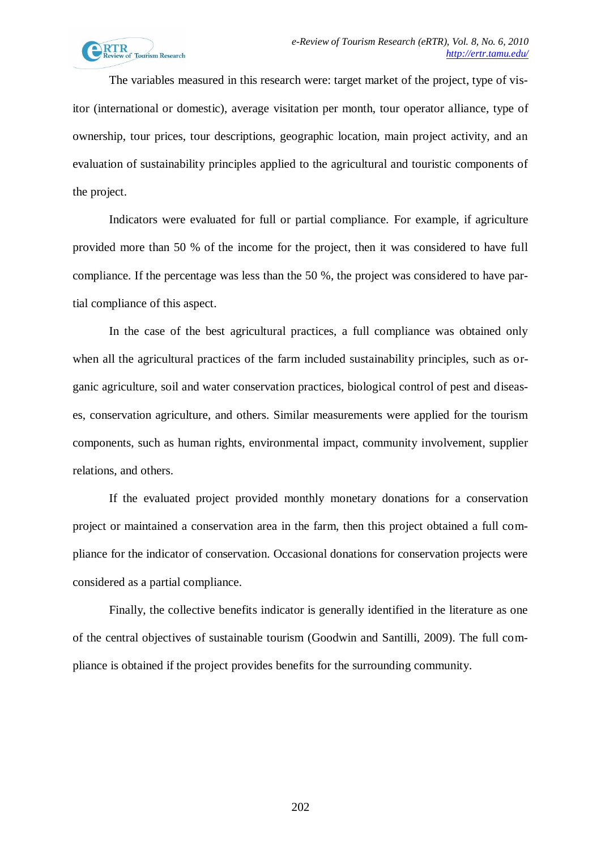The variables measured in this research were: target market of the project, type of visitor (international or domestic), average visitation per month, tour operator alliance, type of ownership, tour prices, tour descriptions, geographic location, main project activity, and an evaluation of sustainability principles applied to the agricultural and touristic components of the project.

Indicators were evaluated for full or partial compliance. For example, if agriculture provided more than 50 % of the income for the project, then it was considered to have full compliance. If the percentage was less than the 50 %, the project was considered to have partial compliance of this aspect.

In the case of the best agricultural practices, a full compliance was obtained only when all the agricultural practices of the farm included sustainability principles, such as organic agriculture, soil and water conservation practices, biological control of pest and diseases, conservation agriculture, and others. Similar measurements were applied for the tourism components, such as human rights, environmental impact, community involvement, supplier relations, and others.

If the evaluated project provided monthly monetary donations for a conservation project or maintained a conservation area in the farm, then this project obtained a full compliance for the indicator of conservation. Occasional donations for conservation projects were considered as a partial compliance.

Finally, the collective benefits indicator is generally identified in the literature as one of the central objectives of sustainable tourism (Goodwin and Santilli, 2009). The full compliance is obtained if the project provides benefits for the surrounding community.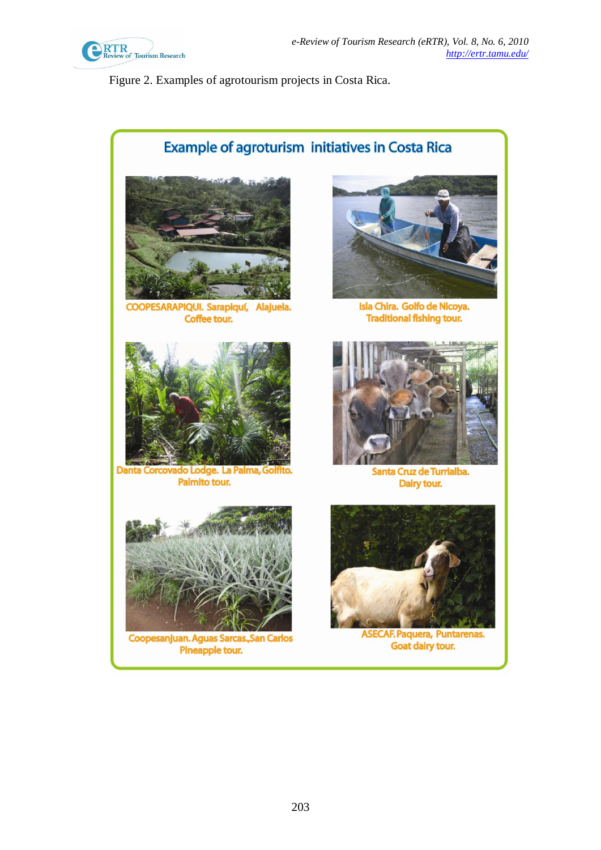

Figure 2. Examples of agrotourism projects in Costa Rica.

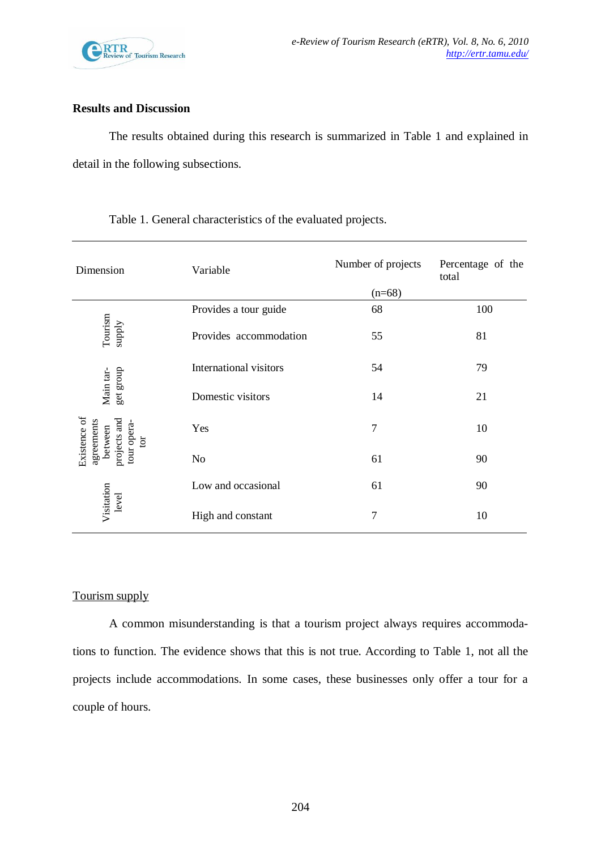

### **Results and Discussion**

The results obtained during this research is summarized in Table 1 and explained in detail in the following subsections.

| Dimension                                                                                             | Variable               | Number of projects | Percentage of the<br>total |  |
|-------------------------------------------------------------------------------------------------------|------------------------|--------------------|----------------------------|--|
|                                                                                                       |                        | $(n=68)$           |                            |  |
| Tourism<br>supply                                                                                     | Provides a tour guide  | 68                 | 100                        |  |
|                                                                                                       | Provides accommodation | 55                 | 81                         |  |
| get group<br>Main tar-<br>Existence of<br>projects and<br>agreements<br>tour opera-<br>between<br>tor | International visitors | 54                 | 79                         |  |
|                                                                                                       | Domestic visitors      | 14                 | 21                         |  |
|                                                                                                       | Yes                    | 7                  | 10                         |  |
|                                                                                                       | N <sub>o</sub>         | 61                 | 90                         |  |
| Visitation<br>level                                                                                   | Low and occasional     | 61                 | 90                         |  |
|                                                                                                       | High and constant      | 7                  | 10                         |  |

Table 1. General characteristics of the evaluated projects.

# Tourism supply

A common misunderstanding is that a tourism project always requires accommodations to function. The evidence shows that this is not true. According to Table 1, not all the projects include accommodations. In some cases, these businesses only offer a tour for a couple of hours.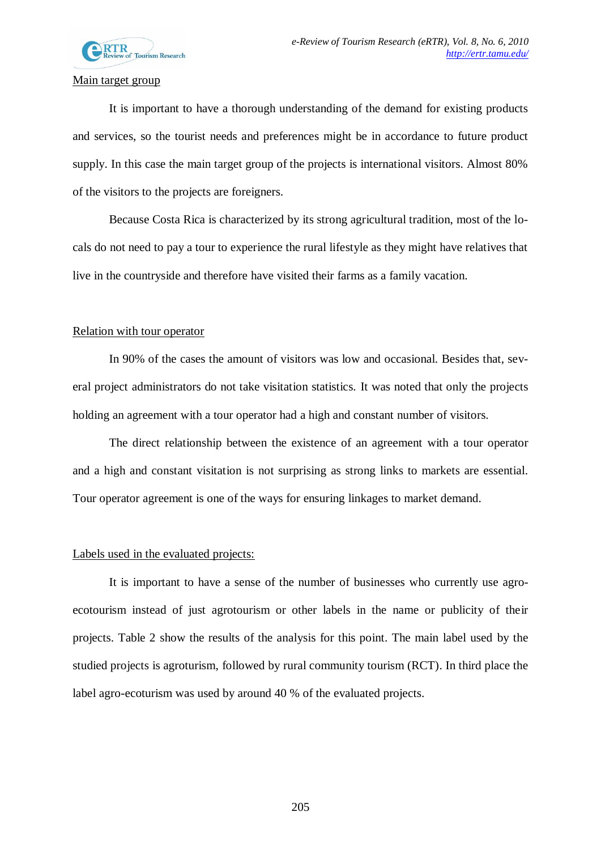

### Main target group

It is important to have a thorough understanding of the demand for existing products and services, so the tourist needs and preferences might be in accordance to future product supply. In this case the main target group of the projects is international visitors. Almost 80% of the visitors to the projects are foreigners.

Because Costa Rica is characterized by its strong agricultural tradition, most of the locals do not need to pay a tour to experience the rural lifestyle as they might have relatives that live in the countryside and therefore have visited their farms as a family vacation.

### Relation with tour operator

In 90% of the cases the amount of visitors was low and occasional. Besides that, several project administrators do not take visitation statistics. It was noted that only the projects holding an agreement with a tour operator had a high and constant number of visitors.

The direct relationship between the existence of an agreement with a tour operator and a high and constant visitation is not surprising as strong links to markets are essential. Tour operator agreement is one of the ways for ensuring linkages to market demand.

#### Labels used in the evaluated projects:

It is important to have a sense of the number of businesses who currently use agroecotourism instead of just agrotourism or other labels in the name or publicity of their projects. Table 2 show the results of the analysis for this point. The main label used by the studied projects is agroturism, followed by rural community tourism (RCT). In third place the label agro-ecoturism was used by around 40 % of the evaluated projects.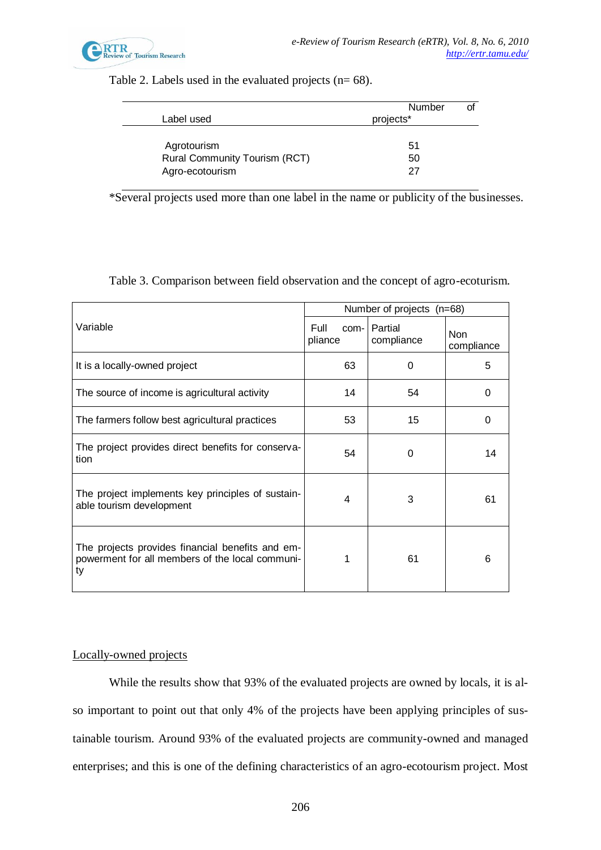

### Table 2. Labels used in the evaluated projects  $(n= 68)$ .

|                                      | Number    |  |
|--------------------------------------|-----------|--|
| Label used                           | projects* |  |
|                                      |           |  |
| Agrotourism                          | 51        |  |
| <b>Rural Community Tourism (RCT)</b> | 50        |  |
| Agro-ecotourism                      | 27        |  |

\*Several projects used more than one label in the name or publicity of the businesses.

Table 3. Comparison between field observation and the concept of agro-ecoturism.

|                                                                                                           | Number of projects (n=68) |                              |                          |  |
|-----------------------------------------------------------------------------------------------------------|---------------------------|------------------------------|--------------------------|--|
| Variable                                                                                                  | Full<br>pliance           | com-   Partial<br>compliance | <b>Non</b><br>compliance |  |
| It is a locally-owned project                                                                             | 63                        | 0                            | 5                        |  |
| The source of income is agricultural activity                                                             | 14                        | 54                           | 0                        |  |
| The farmers follow best agricultural practices                                                            | 53                        | 15                           | 0                        |  |
| The project provides direct benefits for conserva-<br>tion                                                | 54                        | 0                            | 14                       |  |
| The project implements key principles of sustain-<br>able tourism development                             | 4                         | 3                            | 61                       |  |
| The projects provides financial benefits and em-<br>powerment for all members of the local communi-<br>ty | 1                         | 61                           | 6                        |  |

### Locally-owned projects

While the results show that 93% of the evaluated projects are owned by locals, it is also important to point out that only 4% of the projects have been applying principles of sustainable tourism. Around 93% of the evaluated projects are community-owned and managed enterprises; and this is one of the defining characteristics of an agro-ecotourism project. Most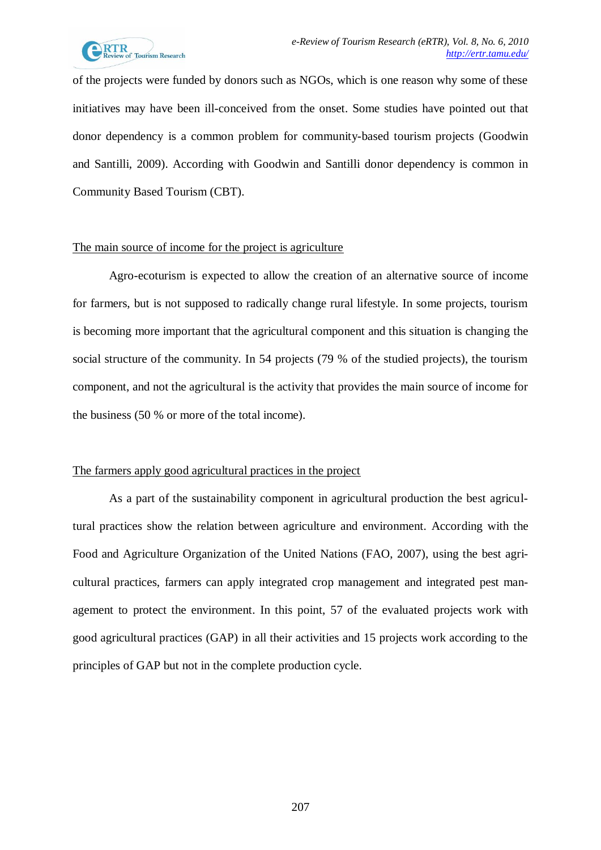

of the projects were funded by donors such as NGOs, which is one reason why some of these initiatives may have been ill-conceived from the onset. Some studies have pointed out that donor dependency is a common problem for community-based tourism projects (Goodwin and Santilli, 2009). According with Goodwin and Santilli donor dependency is common in Community Based Tourism (CBT).

### The main source of income for the project is agriculture

Agro-ecoturism is expected to allow the creation of an alternative source of income for farmers, but is not supposed to radically change rural lifestyle. In some projects, tourism is becoming more important that the agricultural component and this situation is changing the social structure of the community. In 54 projects (79 % of the studied projects), the tourism component, and not the agricultural is the activity that provides the main source of income for the business (50 % or more of the total income).

## The farmers apply good agricultural practices in the project

As a part of the sustainability component in agricultural production the best agricultural practices show the relation between agriculture and environment. According with the Food and Agriculture Organization of the United Nations (FAO, 2007), using the best agricultural practices, farmers can apply integrated crop management and integrated pest management to protect the environment. In this point, 57 of the evaluated projects work with good agricultural practices (GAP) in all their activities and 15 projects work according to the principles of GAP but not in the complete production cycle.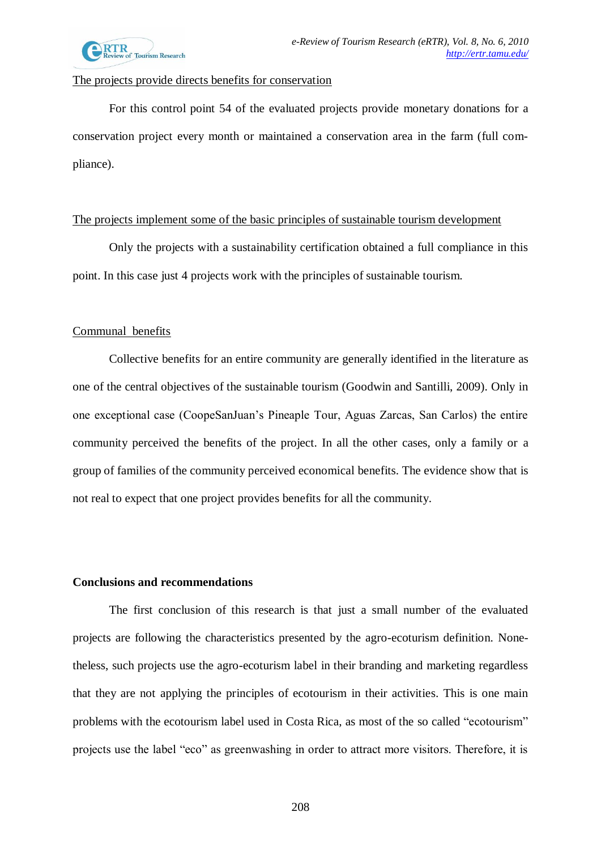

### The projects provide directs benefits for conservation

For this control point 54 of the evaluated projects provide monetary donations for a conservation project every month or maintained a conservation area in the farm (full compliance).

### The projects implement some of the basic principles of sustainable tourism development

Only the projects with a sustainability certification obtained a full compliance in this point. In this case just 4 projects work with the principles of sustainable tourism.

## Communal benefits

Collective benefits for an entire community are generally identified in the literature as one of the central objectives of the sustainable tourism (Goodwin and Santilli, 2009). Only in one exceptional case (CoopeSanJuan"s Pineaple Tour, Aguas Zarcas, San Carlos) the entire community perceived the benefits of the project. In all the other cases, only a family or a group of families of the community perceived economical benefits. The evidence show that is not real to expect that one project provides benefits for all the community.

### **Conclusions and recommendations**

The first conclusion of this research is that just a small number of the evaluated projects are following the characteristics presented by the agro-ecoturism definition. Nonetheless, such projects use the agro-ecoturism label in their branding and marketing regardless that they are not applying the principles of ecotourism in their activities. This is one main problems with the ecotourism label used in Costa Rica, as most of the so called "ecotourism" projects use the label "eco" as greenwashing in order to attract more visitors. Therefore, it is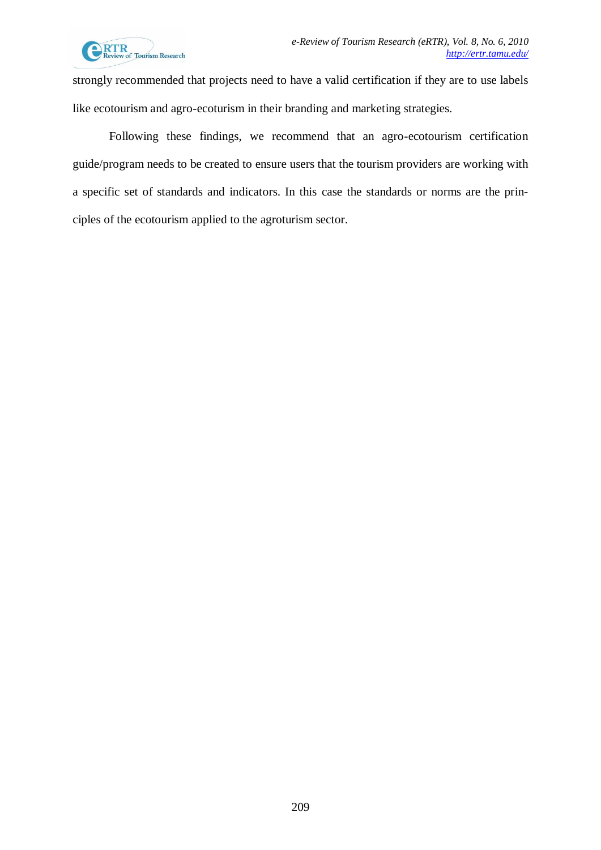

strongly recommended that projects need to have a valid certification if they are to use labels like ecotourism and agro-ecoturism in their branding and marketing strategies.

Following these findings, we recommend that an agro-ecotourism certification guide/program needs to be created to ensure users that the tourism providers are working with a specific set of standards and indicators. In this case the standards or norms are the principles of the ecotourism applied to the agroturism sector.